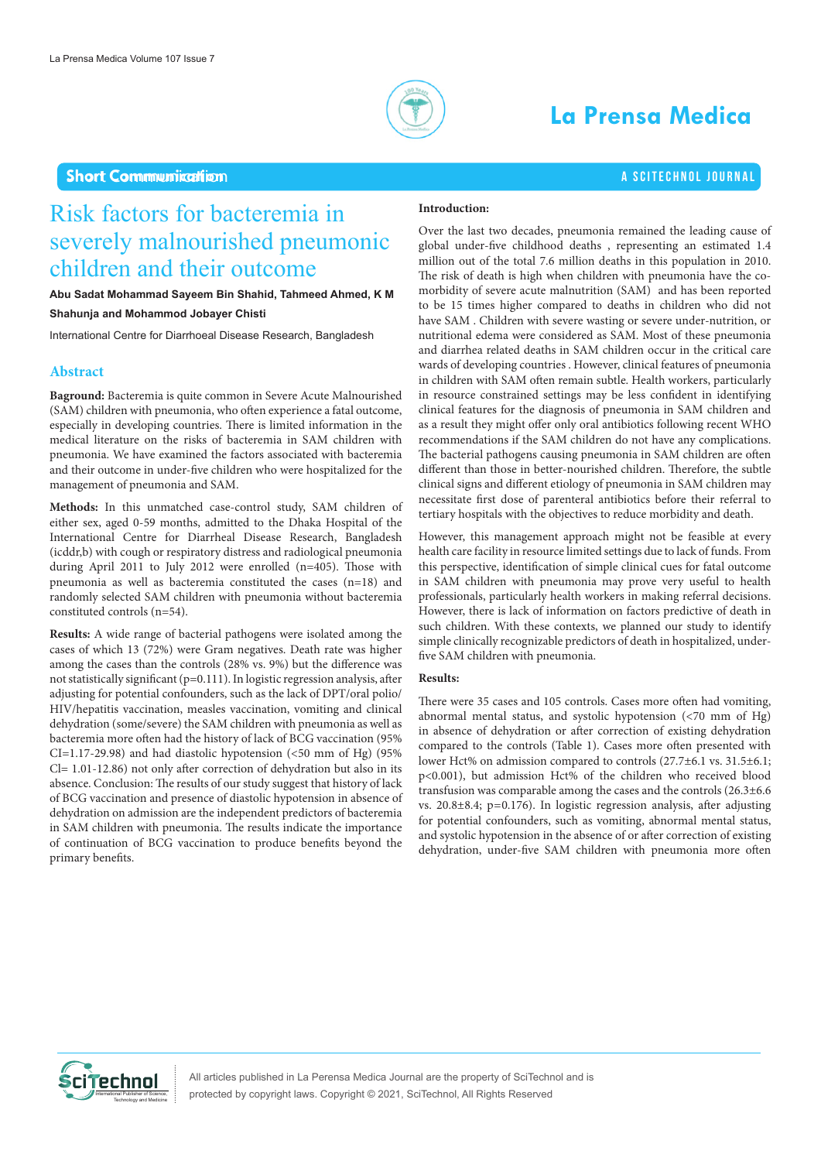

# **La Prensa Medica**

## a SciTechnol journal

## Short Communication **Short Communication**

## Risk factors for bacteremia in severely malnourished pneumonic children and their outcome

### **Abu Sadat Mohammad Sayeem Bin Shahid, Tahmeed Ahmed, K M Shahunja and Mohammod Jobayer Chisti**

International Centre for Diarrhoeal Disease Research, Bangladesh

### **Abstract**

**Baground:** Bacteremia is quite common in Severe Acute Malnourished (SAM) children with pneumonia, who often experience a fatal outcome, especially in developing countries. There is limited information in the medical literature on the risks of bacteremia in SAM children with pneumonia. We have examined the factors associated with bacteremia and their outcome in under-five children who were hospitalized for the management of pneumonia and SAM.

**Methods:** In this unmatched case-control study, SAM children of either sex, aged 0-59 months, admitted to the Dhaka Hospital of the International Centre for Diarrheal Disease Research, Bangladesh (icddr,b) with cough or respiratory distress and radiological pneumonia during April 2011 to July 2012 were enrolled (n=405). Those with pneumonia as well as bacteremia constituted the cases (n=18) and randomly selected SAM children with pneumonia without bacteremia constituted controls (n=54).

**Results:** A wide range of bacterial pathogens were isolated among the cases of which 13 (72%) were Gram negatives. Death rate was higher among the cases than the controls (28% vs. 9%) but the difference was not statistically significant (p=0.111). In logistic regression analysis, after adjusting for potential confounders, such as the lack of DPT/oral polio/ HIV/hepatitis vaccination, measles vaccination, vomiting and clinical dehydration (some/severe) the SAM children with pneumonia as well as bacteremia more often had the history of lack of BCG vaccination (95% CI=1.17-29.98) and had diastolic hypotension  $(50$  mm of Hg)  $(95\%$ Cl= 1.01-12.86) not only after correction of dehydration but also in its absence. Conclusion: The results of our study suggest that history of lack of BCG vaccination and presence of diastolic hypotension in absence of dehydration on admission are the independent predictors of bacteremia in SAM children with pneumonia. The results indicate the importance of continuation of BCG vaccination to produce benefits beyond the primary benefits.

#### **Introduction:**

Over the last two decades, pneumonia remained the leading cause of global under-five childhood deaths , representing an estimated 1.4 million out of the total 7.6 million deaths in this population in 2010. The risk of death is high when children with pneumonia have the comorbidity of severe acute malnutrition (SAM) and has been reported to be 15 times higher compared to deaths in children who did not have SAM . Children with severe wasting or severe under-nutrition, or nutritional edema were considered as SAM. Most of these pneumonia and diarrhea related deaths in SAM children occur in the critical care wards of developing countries . However, clinical features of pneumonia in children with SAM often remain subtle. Health workers, particularly in resource constrained settings may be less confident in identifying clinical features for the diagnosis of pneumonia in SAM children and as a result they might offer only oral antibiotics following recent WHO recommendations if the SAM children do not have any complications. The bacterial pathogens causing pneumonia in SAM children are often different than those in better-nourished children. Therefore, the subtle clinical signs and different etiology of pneumonia in SAM children may necessitate first dose of parenteral antibiotics before their referral to tertiary hospitals with the objectives to reduce morbidity and death.

However, this management approach might not be feasible at every health care facility in resource limited settings due to lack of funds. From this perspective, identification of simple clinical cues for fatal outcome in SAM children with pneumonia may prove very useful to health professionals, particularly health workers in making referral decisions. However, there is lack of information on factors predictive of death in such children. With these contexts, we planned our study to identify simple clinically recognizable predictors of death in hospitalized, underfive SAM children with pneumonia.

#### **Results:**

There were 35 cases and 105 controls. Cases more often had vomiting, abnormal mental status, and systolic hypotension (<70 mm of Hg) in absence of dehydration or after correction of existing dehydration compared to the controls (Table 1). Cases more often presented with lower Hct% on admission compared to controls (27.7±6.1 vs. 31.5±6.1; p<0.001), but admission Hct% of the children who received blood transfusion was comparable among the cases and the controls (26.3±6.6 vs. 20.8±8.4; p=0.176). In logistic regression analysis, after adjusting for potential confounders, such as vomiting, abnormal mental status, and systolic hypotension in the absence of or after correction of existing dehydration, under-five SAM children with pneumonia more often